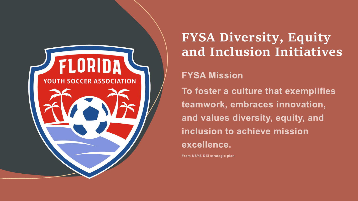

## **FYSA Diversity, Equity and Inclusion Initiatives**

### **FYSA Mission**

To foster a culture that exemplifies teamwork, embraces innovation, and values diversity, equity, and inclusion to achieve mission excellence.

From USYS DEI strategic plan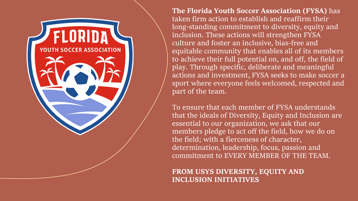**The Florida Youth Soccer Association (FYSA)** has taken firm action to establish and reaffirm their long-standing commitment to diversity, equity and inclusion. These actions will strengthen FYSA culture and foster an inclusive, bias-free and equitable community that enables all of its members to achieve their full potential on, and off, the field of play. Through specific, deliberate and meaningful actions and investment, FYSA seeks to make soccer a sport where everyone feels welcomed, respected and part of the team.

FLORID,

**YOUTH SOCCER ASSOCIATION** 

To ensure that each member of FYSA understands that the ideals of Diversity, Equity and Inclusion are essential to our organization, we ask that our members pledge to act off the field, how we do on the field; with a fierceness of character, determination, leadership, focus, passion and commitment to EVERY MEMBER OF THE TEAM.

**FROM USYS DIVERSITY, EQUITY AND INCLUSION INITIATIVES**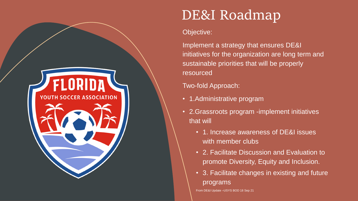# DE&I Roadmap

#### Objective:

Implement a strategy that ensures DE&I initiatives for the organization are long term and sustainable priorities that will be properly resourced

### Two-fold Approach:

- 1.Administrative program
- 2.Grassroots program -implement initiatives that will
	- 1. Increase awareness of DE&I issues with member clubs
	- 2. Facilitate Discussion and Evaluation to promote Diversity, Equity and Inclusion.
	- 3. Facilitate changes in existing and future programs

From DE&I Update –USYS BOD 18 Sep 21